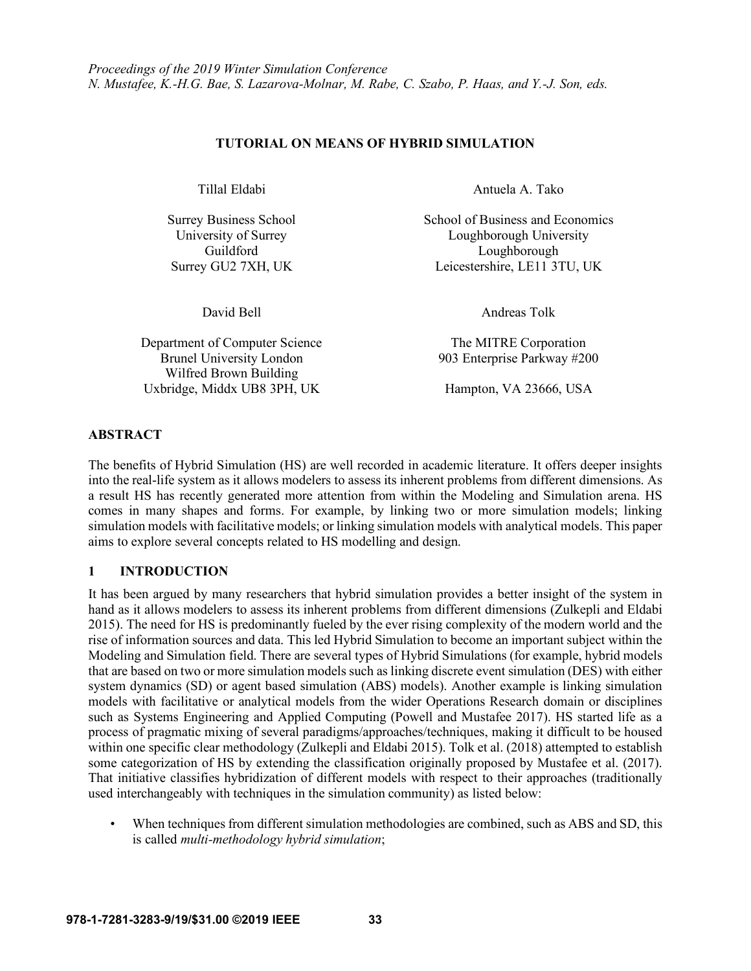## **TUTORIAL ON MEANS OF HYBRID SIMULATION**

Department of Computer Science The MITRE Corporation Brunel University London 903 Enterprise Parkway #200 Wilfred Brown Building Uxbridge, Middx UB8 3PH, UK Hampton, VA 23666, USA

Tillal Eldabi **Antuela A. Tako** 

Surrey Business School School School of Business and Economics University of Surrey Loughborough University Guildford Loughborough Surrey GU2 7XH, UK Leicestershire, LE11 3TU, UK

David Bell **Andreas Tolk** 

## **ABSTRACT**

The benefits of Hybrid Simulation (HS) are well recorded in academic literature. It offers deeper insights into the real-life system as it allows modelers to assess its inherent problems from different dimensions. As a result HS has recently generated more attention from within the Modeling and Simulation arena. HS comes in many shapes and forms. For example, by linking two or more simulation models; linking simulation models with facilitative models; or linking simulation models with analytical models. This paper aims to explore several concepts related to HS modelling and design.

## **1 INTRODUCTION**

It has been argued by many researchers that hybrid simulation provides a better insight of the system in hand as it allows modelers to assess its inherent problems from different dimensions (Zulkepli and Eldabi 2015). The need for HS is predominantly fueled by the ever rising complexity of the modern world and the rise of information sources and data. This led Hybrid Simulation to become an important subject within the Modeling and Simulation field. There are several types of Hybrid Simulations (for example, hybrid models that are based on two or more simulation models such as linking discrete event simulation (DES) with either system dynamics (SD) or agent based simulation (ABS) models). Another example is linking simulation models with facilitative or analytical models from the wider Operations Research domain or disciplines such as Systems Engineering and Applied Computing (Powell and Mustafee 2017). HS started life as a process of pragmatic mixing of several paradigms/approaches/techniques, making it difficult to be housed within one specific clear methodology (Zulkepli and Eldabi 2015). Tolk et al. (2018) attempted to establish some categorization of HS by extending the classification originally proposed by Mustafee et al. (2017). That initiative classifies hybridization of different models with respect to their approaches (traditionally used interchangeably with techniques in the simulation community) as listed below:

• When techniques from different simulation methodologies are combined, such as ABS and SD, this is called *multi-methodology hybrid simulation*;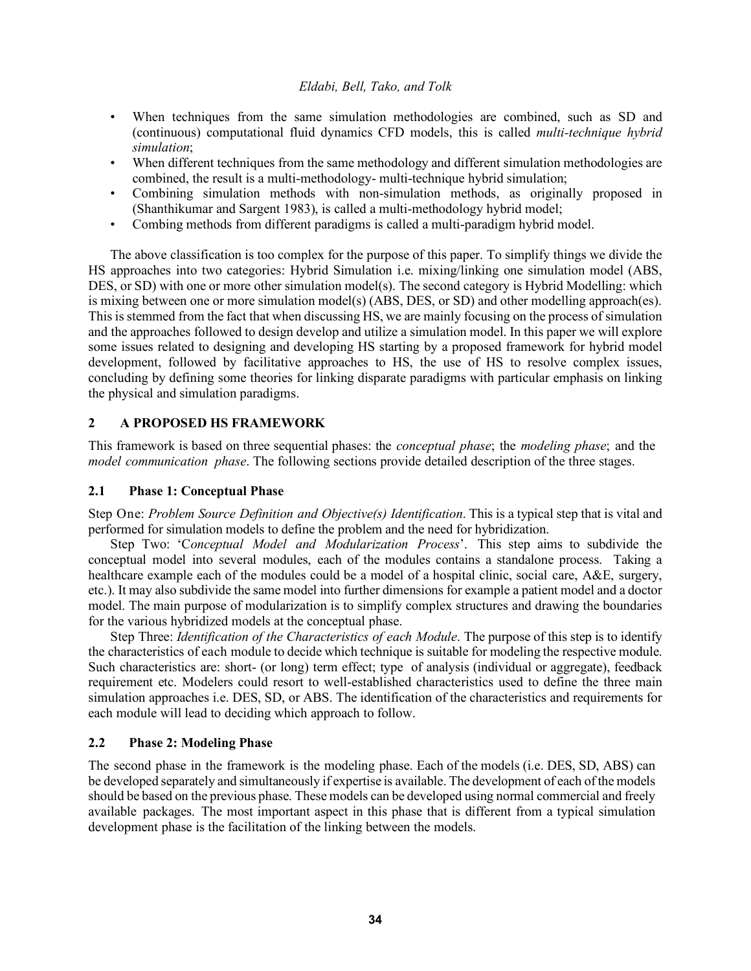- When techniques from the same simulation methodologies are combined, such as SD and (continuous) computational fluid dynamics CFD models, this is called *multi-technique hybrid simulation*;
- When different techniques from the same methodology and different simulation methodologies are combined, the result is a multi-methodology- multi-technique hybrid simulation;
- Combining simulation methods with non-simulation methods, as originally proposed in (Shanthikumar and Sargent 1983), is called a multi-methodology hybrid model;
- Combing methods from different paradigms is called a multi-paradigm hybrid model.

The above classification is too complex for the purpose of this paper. To simplify things we divide the HS approaches into two categories: Hybrid Simulation i.e. mixing/linking one simulation model (ABS, DES, or SD) with one or more other simulation model(s). The second category is Hybrid Modelling: which is mixing between one or more simulation model(s) (ABS, DES, or SD) and other modelling approach(es). This is stemmed from the fact that when discussing HS, we are mainly focusing on the process of simulation and the approaches followed to design develop and utilize a simulation model. In this paper we will explore some issues related to designing and developing HS starting by a proposed framework for hybrid model development, followed by facilitative approaches to HS, the use of HS to resolve complex issues, concluding by defining some theories for linking disparate paradigms with particular emphasis on linking the physical and simulation paradigms.

# **2 A PROPOSED HS FRAMEWORK**

This framework is based on three sequential phases: the *conceptual phase*; the *modeling phase*; and the *model communication phase*. The following sections provide detailed description of the three stages.

## **2.1 Phase 1: Conceptual Phase**

Step One: *Problem Source Definition and Objective(s) Identification*. This is a typical step that is vital and performed for simulation models to define the problem and the need for hybridization.

Step Two: 'C*onceptual Model and Modularization Process*'. This step aims to subdivide the conceptual model into several modules, each of the modules contains a standalone process. Taking a healthcare example each of the modules could be a model of a hospital clinic, social care, A&E, surgery, etc.). It may also subdivide the same model into further dimensions for example a patient model and a doctor model. The main purpose of modularization is to simplify complex structures and drawing the boundaries for the various hybridized models at the conceptual phase.

Step Three: *Identification of the Characteristics of each Module*. The purpose of this step is to identify the characteristics of each module to decide which technique is suitable for modeling the respective module. Such characteristics are: short- (or long) term effect; type of analysis (individual or aggregate), feedback requirement etc. Modelers could resort to well-established characteristics used to define the three main simulation approaches i.e. DES, SD, or ABS. The identification of the characteristics and requirements for each module will lead to deciding which approach to follow.

## **2.2 Phase 2: Modeling Phase**

The second phase in the framework is the modeling phase. Each of the models (i.e. DES, SD, ABS) can be developed separately and simultaneously if expertise is available. The development of each of the models should be based on the previous phase. These models can be developed using normal commercial and freely available packages. The most important aspect in this phase that is different from a typical simulation development phase is the facilitation of the linking between the models.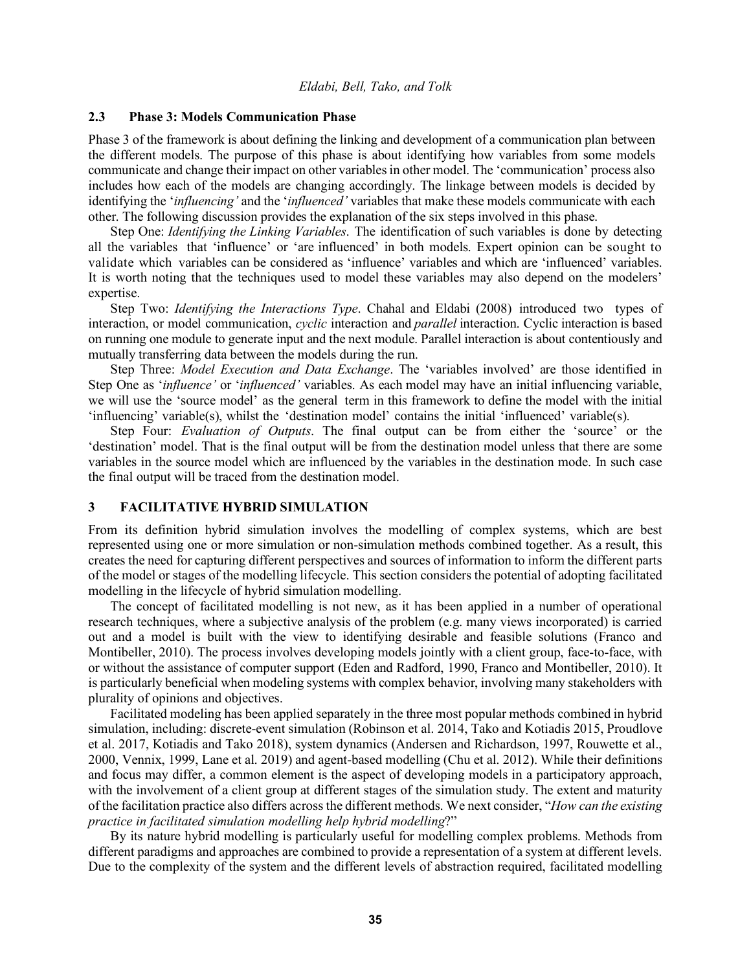## **2.3 Phase 3: Models Communication Phase**

Phase 3 of the framework is about defining the linking and development of a communication plan between the different models. The purpose of this phase is about identifying how variables from some models communicate and change their impact on other variablesin other model. The 'communication' process also includes how each of the models are changing accordingly. The linkage between models is decided by identifying the '*influencing'* and the '*influenced'* variables that make these models communicate with each other. The following discussion provides the explanation of the six steps involved in this phase.

Step One: *Identifying the Linking Variables*. The identification of such variables is done by detecting all the variables that 'influence' or 'are influenced' in both models. Expert opinion can be sought to validate which variables can be considered as 'influence' variables and which are 'influenced' variables. It is worth noting that the techniques used to model these variables may also depend on the modelers' expertise.

Step Two: *Identifying the Interactions Type*. Chahal and Eldabi (2008) introduced two types of interaction, or model communication, *cyclic* interaction and *parallel* interaction. Cyclic interaction is based on running one module to generate input and the next module. Parallel interaction is about contentiously and mutually transferring data between the models during the run.

Step Three: *Model Execution and Data Exchange*. The 'variables involved' are those identified in Step One as '*influence'* or '*influenced'* variables. As each model may have an initial influencing variable, we will use the 'source model' as the general term in this framework to define the model with the initial 'influencing' variable(s), whilst the 'destination model' contains the initial 'influenced' variable(s).

Step Four: *Evaluation of Outputs*. The final output can be from either the 'source' or the 'destination' model. That is the final output will be from the destination model unless that there are some variables in the source model which are influenced by the variables in the destination mode. In such case the final output will be traced from the destination model.

## **3 FACILITATIVE HYBRID SIMULATION**

From its definition hybrid simulation involves the modelling of complex systems, which are best represented using one or more simulation or non-simulation methods combined together. As a result, this creates the need for capturing different perspectives and sources of information to inform the different parts of the model or stages of the modelling lifecycle. This section considers the potential of adopting facilitated modelling in the lifecycle of hybrid simulation modelling.

The concept of facilitated modelling is not new, as it has been applied in a number of operational research techniques, where a subjective analysis of the problem (e.g. many views incorporated) is carried out and a model is built with the view to identifying desirable and feasible solutions (Franco and Montibeller, 2010). The process involves developing models jointly with a client group, face-to-face, with or without the assistance of computer support (Eden and Radford, 1990, Franco and Montibeller, 2010). It is particularly beneficial when modeling systems with complex behavior, involving many stakeholders with plurality of opinions and objectives.

Facilitated modeling has been applied separately in the three most popular methods combined in hybrid simulation, including: discrete-event simulation (Robinson et al. 2014, Tako and Kotiadis 2015, Proudlove et al. 2017, Kotiadis and Tako 2018), system dynamics (Andersen and Richardson, 1997, Rouwette et al., 2000, Vennix, 1999, Lane et al. 2019) and agent-based modelling (Chu et al. 2012). While their definitions and focus may differ, a common element is the aspect of developing models in a participatory approach, with the involvement of a client group at different stages of the simulation study. The extent and maturity of the facilitation practice also differs across the different methods. We next consider, "*How can the existing practice in facilitated simulation modelling help hybrid modelling*?"

By its nature hybrid modelling is particularly useful for modelling complex problems. Methods from different paradigms and approaches are combined to provide a representation of a system at different levels. Due to the complexity of the system and the different levels of abstraction required, facilitated modelling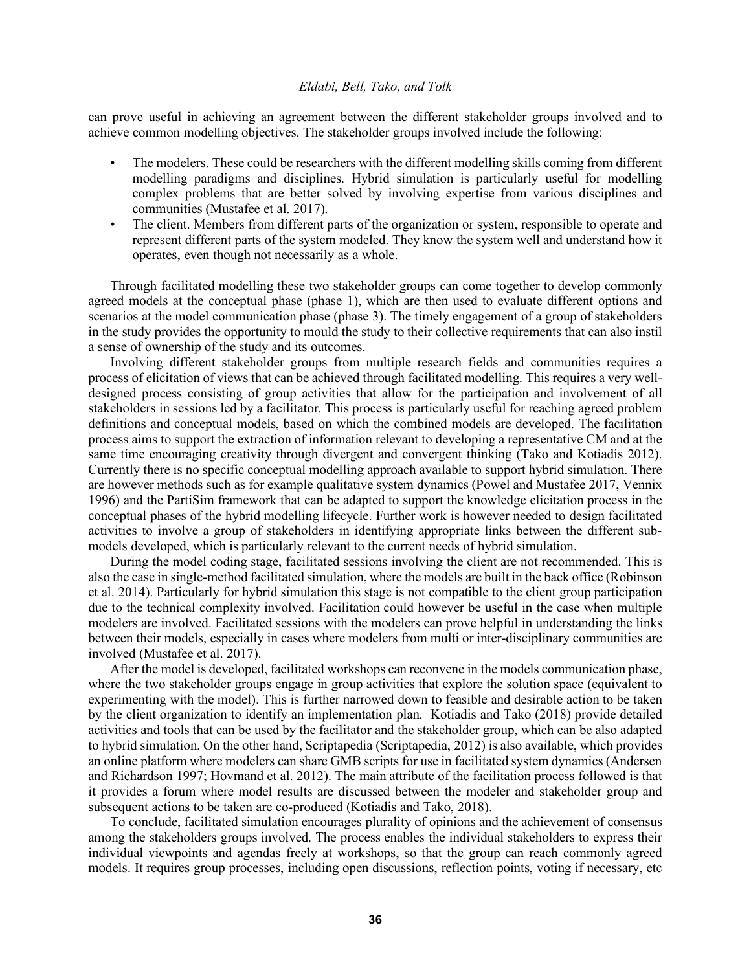can prove useful in achieving an agreement between the different stakeholder groups involved and to achieve common modelling objectives. The stakeholder groups involved include the following:

- The modelers. These could be researchers with the different modelling skills coming from different modelling paradigms and disciplines. Hybrid simulation is particularly useful for modelling complex problems that are better solved by involving expertise from various disciplines and communities (Mustafee et al. 2017).
- The client. Members from different parts of the organization or system, responsible to operate and represent different parts of the system modeled. They know the system well and understand how it operates, even though not necessarily as a whole.

Through facilitated modelling these two stakeholder groups can come together to develop commonly agreed models at the conceptual phase (phase 1), which are then used to evaluate different options and scenarios at the model communication phase (phase 3). The timely engagement of a group of stakeholders in the study provides the opportunity to mould the study to their collective requirements that can also instil a sense of ownership of the study and its outcomes.

Involving different stakeholder groups from multiple research fields and communities requires a process of elicitation of views that can be achieved through facilitated modelling. This requires a very welldesigned process consisting of group activities that allow for the participation and involvement of all stakeholders in sessions led by a facilitator. This process is particularly useful for reaching agreed problem definitions and conceptual models, based on which the combined models are developed. The facilitation process aims to support the extraction of information relevant to developing a representative CM and at the same time encouraging creativity through divergent and convergent thinking (Tako and Kotiadis 2012). Currently there is no specific conceptual modelling approach available to support hybrid simulation. There are however methods such as for example qualitative system dynamics (Powel and Mustafee 2017, Vennix 1996) and the PartiSim framework that can be adapted to support the knowledge elicitation process in the conceptual phases of the hybrid modelling lifecycle. Further work is however needed to design facilitated activities to involve a group of stakeholders in identifying appropriate links between the different submodels developed, which is particularly relevant to the current needs of hybrid simulation.

During the model coding stage, facilitated sessions involving the client are not recommended. This is also the case in single-method facilitated simulation, where the models are built in the back office (Robinson et al. 2014). Particularly for hybrid simulation this stage is not compatible to the client group participation due to the technical complexity involved. Facilitation could however be useful in the case when multiple modelers are involved. Facilitated sessions with the modelers can prove helpful in understanding the links between their models, especially in cases where modelers from multi or inter-disciplinary communities are involved (Mustafee et al. 2017).

After the model is developed, facilitated workshops can reconvene in the models communication phase, where the two stakeholder groups engage in group activities that explore the solution space (equivalent to experimenting with the model). This is further narrowed down to feasible and desirable action to be taken by the client organization to identify an implementation plan. Kotiadis and Tako (2018) provide detailed activities and tools that can be used by the facilitator and the stakeholder group, which can be also adapted to hybrid simulation. On the other hand, Scriptapedia (Scriptapedia, 2012) is also available, which provides an online platform where modelers can share GMB scripts for use in facilitated system dynamics (Andersen and Richardson 1997; Hovmand et al. 2012). The main attribute of the facilitation process followed is that it provides a forum where model results are discussed between the modeler and stakeholder group and subsequent actions to be taken are co-produced (Kotiadis and Tako, 2018).

To conclude, facilitated simulation encourages plurality of opinions and the achievement of consensus among the stakeholders groups involved. The process enables the individual stakeholders to express their individual viewpoints and agendas freely at workshops, so that the group can reach commonly agreed models. It requires group processes, including open discussions, reflection points, voting if necessary, etc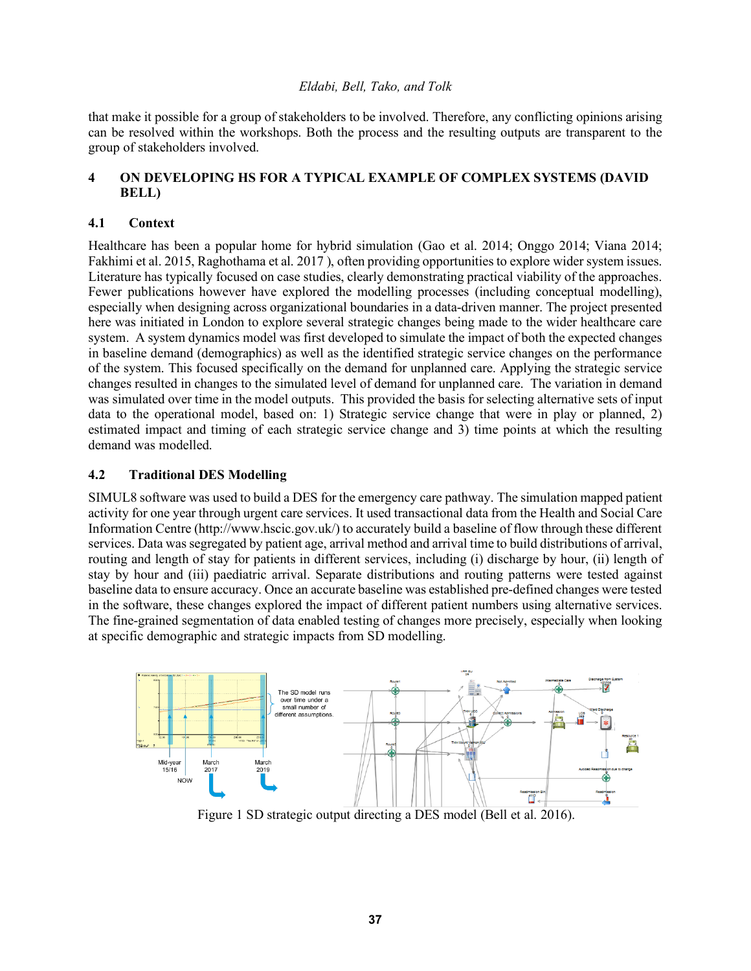that make it possible for a group of stakeholders to be involved. Therefore, any conflicting opinions arising can be resolved within the workshops. Both the process and the resulting outputs are transparent to the group of stakeholders involved.

# **4 ON DEVELOPING HS FOR A TYPICAL EXAMPLE OF COMPLEX SYSTEMS (DAVID BELL)**

## **4.1 Context**

Healthcare has been a popular home for hybrid simulation (Gao et al. 2014; Onggo 2014; Viana 2014; Fakhimi et al. 2015, Raghothama et al. 2017 ), often providing opportunities to explore wider system issues. Literature has typically focused on case studies, clearly demonstrating practical viability of the approaches. Fewer publications however have explored the modelling processes (including conceptual modelling), especially when designing across organizational boundaries in a data-driven manner. The project presented here was initiated in London to explore several strategic changes being made to the wider healthcare care system. A system dynamics model was first developed to simulate the impact of both the expected changes in baseline demand (demographics) as well as the identified strategic service changes on the performance of the system. This focused specifically on the demand for unplanned care. Applying the strategic service changes resulted in changes to the simulated level of demand for unplanned care. The variation in demand was simulated over time in the model outputs. This provided the basis for selecting alternative sets of input data to the operational model, based on: 1) Strategic service change that were in play or planned, 2) estimated impact and timing of each strategic service change and 3) time points at which the resulting demand was modelled.

## **4.2 Traditional DES Modelling**

SIMUL8 software was used to build a DES for the emergency care pathway. The simulation mapped patient activity for one year through urgent care services. It used transactional data from the Health and Social Care Information Centre (http://www.hscic.gov.uk/) to accurately build a baseline of flow through these different services. Data was segregated by patient age, arrival method and arrival time to build distributions of arrival, routing and length of stay for patients in different services, including (i) discharge by hour, (ii) length of stay by hour and (iii) paediatric arrival. Separate distributions and routing patterns were tested against baseline data to ensure accuracy. Once an accurate baseline was established pre-defined changes were tested in the software, these changes explored the impact of different patient numbers using alternative services. The fine-grained segmentation of data enabled testing of changes more precisely, especially when looking at specific demographic and strategic impacts from SD modelling.



Figure 1 SD strategic output directing a DES model (Bell et al. 2016).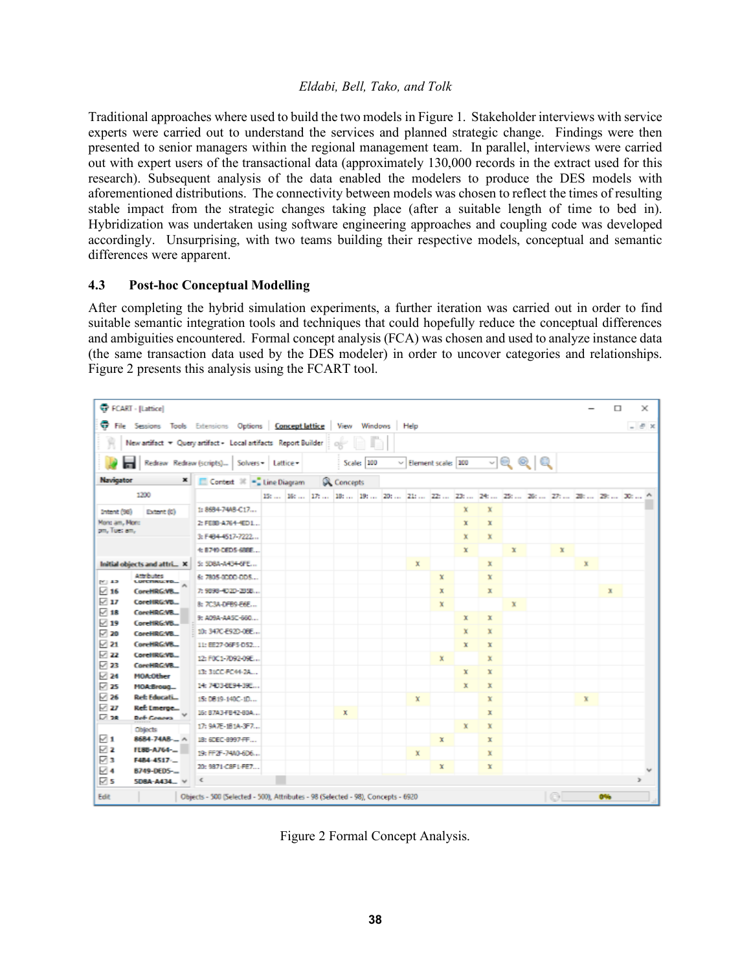Traditional approaches where used to build the two models in Figure 1. Stakeholder interviews with service experts were carried out to understand the services and planned strategic change. Findings were then presented to senior managers within the regional management team. In parallel, interviews were carried out with expert users of the transactional data (approximately 130,000 records in the extract used for this research). Subsequent analysis of the data enabled the modelers to produce the DES models with aforementioned distributions. The connectivity between models was chosen to reflect the times of resulting stable impact from the strategic changes taking place (after a suitable length of time to bed in). Hybridization was undertaken using software engineering approaches and coupling code was developed accordingly. Unsurprising, with two teams building their respective models, conceptual and semantic differences were apparent.

### **4.3 Post-hoc Conceptual Modelling**

After completing the hybrid simulation experiments, a further iteration was carried out in order to find suitable semantic integration tools and techniques that could hopefully reduce the conceptual differences and ambiguities encountered. Formal concept analysis (FCA) was chosen and used to analyze instance data (the same transaction data used by the DES modeler) in order to uncover categories and relationships. Figure 2 presents this analysis using the FCART tool.

| FCART - [Lattice]<br>$\Box$<br>×                                             |                                                      |                                                                                  |  |  |  |              |            |      |                           |   |             |   |                                                                                                                   |               |             |              |  |                  |
|------------------------------------------------------------------------------|------------------------------------------------------|----------------------------------------------------------------------------------|--|--|--|--------------|------------|------|---------------------------|---|-------------|---|-------------------------------------------------------------------------------------------------------------------|---------------|-------------|--------------|--|------------------|
| File Sessions Tools Extensions Options Concept lattice                       |                                                      |                                                                                  |  |  |  | View Windows |            | Help |                           |   |             |   |                                                                                                                   |               |             |              |  | $  \in$ $\times$ |
|                                                                              |                                                      | New artifact = Query artifact + Local artifacts Report Builder                   |  |  |  |              |            |      |                           |   |             |   |                                                                                                                   |               |             |              |  |                  |
|                                                                              |                                                      | Redraw Redraw (scripts)   Solvers -   Lattice -                                  |  |  |  |              | Scale: 100 |      | $\vee$ Element scale: 100 |   |             |   | <u>ମକ୍</u> ତ୍ରାହ୍                                                                                                 |               |             |              |  |                  |
| Navigator                                                                    | $\mathbf{x}$                                         | Contest 30 - Line Diagram                                                        |  |  |  | Concepts     |            |      |                           |   |             |   |                                                                                                                   |               |             |              |  |                  |
| 1200                                                                         |                                                      |                                                                                  |  |  |  |              |            |      |                           |   |             |   | 15t    16t    17t    18t    19t    20t    21t    22t    23t    24t    25t    26t    27t    28t    29t    30t    ^ |               |             |              |  |                  |
| Intent (98)<br>Extent (0)                                                    |                                                      | 1:8684-74AB-C17                                                                  |  |  |  |              |            |      |                           | x | x           |   |                                                                                                                   |               |             |              |  |                  |
| Mond am, Mond                                                                |                                                      | 2: FEBB-A764-4ED1                                                                |  |  |  |              |            |      |                           | x | x           |   |                                                                                                                   |               |             |              |  |                  |
| om, Tues am,                                                                 |                                                      | 3: F484-4517-7222                                                                |  |  |  |              |            |      |                           | x | x           |   |                                                                                                                   |               |             |              |  |                  |
|                                                                              |                                                      | 4: 8749-DED5-68BE                                                                |  |  |  |              |            |      |                           | x |             | x |                                                                                                                   | $\mathbbm{X}$ |             |              |  |                  |
| Initial objects and attri X                                                  |                                                      | 5: 508A-A434-6FE                                                                 |  |  |  |              |            | x    |                           |   | x           |   |                                                                                                                   |               | $\mathbf x$ |              |  |                  |
| Attributes<br>PC 43<br><b>LUITENIA FD.</b>                                   |                                                      | 6: 7805-0000-005                                                                 |  |  |  |              |            |      | x                         |   | x           |   |                                                                                                                   |               |             |              |  |                  |
| $\vee$ 16<br>CoreHRG:VB.<br>$\boxdot$ 17<br>CoreHRG:VB<br>ি 18<br>CoreHRGWB. |                                                      | 7: 9898-4020-2858                                                                |  |  |  |              |            |      | x                         |   | x           |   |                                                                                                                   |               |             | $\mathbf{x}$ |  |                  |
|                                                                              |                                                      | B: 703A-DFB9-E6E                                                                 |  |  |  |              |            |      | x                         |   |             | x |                                                                                                                   |               |             |              |  |                  |
| $\boxdot$ 19<br>CoreHRG:VB.                                                  |                                                      | 9: A09A-AASC-660                                                                 |  |  |  |              |            |      |                           | x | x           |   |                                                                                                                   |               |             |              |  |                  |
| $\triangledown$ 20<br>CoreHRG:VB.                                            |                                                      | 10: 347C-E92D-0BE                                                                |  |  |  |              |            |      |                           | x | x           |   |                                                                                                                   |               |             |              |  |                  |
| $\sqrt{21}$<br>CoreHRG-VB.                                                   |                                                      | 11:EE27-06F5-052                                                                 |  |  |  |              |            |      |                           | x | x           |   |                                                                                                                   |               |             |              |  |                  |
| 1723                                                                         | 122<br>CoreHRG:VB<br>CoreHRG/VB.                     | 12: F0C1-7092-09E                                                                |  |  |  |              |            |      | x                         |   | x           |   |                                                                                                                   |               |             |              |  |                  |
| $\triangleright$ 24<br><b>MOA:Other</b>                                      |                                                      | 13: 31CC-FC44-2A                                                                 |  |  |  |              |            |      |                           | x | x           |   |                                                                                                                   |               |             |              |  |                  |
| $\sqrt{25}$<br>MOA:Broug                                                     |                                                      | 14: 7403-8E94-39E                                                                |  |  |  |              |            |      |                           | x | x           |   |                                                                                                                   |               |             |              |  |                  |
| $\vee$ 26<br><b>Ref: Educati</b><br>⊵ 27<br><b>Ref: Emerge</b>               |                                                      | 15: DB19-140C-1D                                                                 |  |  |  |              |            | x    |                           |   | x           |   |                                                                                                                   |               | $\mathbf x$ |              |  |                  |
| ⊡ วล<br><b>Def-Genera</b>                                                    |                                                      | 16: 87A3-FB42-80A                                                                |  |  |  | X.           |            |      |                           |   | x           |   |                                                                                                                   |               |             |              |  |                  |
| Objects                                                                      |                                                      | 17:9A 花- 旧1A-3F7                                                                 |  |  |  |              |            |      |                           | x | $\mathbf x$ |   |                                                                                                                   |               |             |              |  |                  |
| 1⊺<br>12                                                                     | $8684 - 74AB - 4$<br><b>FL88-A764-</b><br>F484-4517- | 18: 6DEC-8997-FF                                                                 |  |  |  |              |            |      | x                         |   | x           |   |                                                                                                                   |               |             |              |  |                  |
| ⊽з                                                                           |                                                      | 19: FF2F-74A0-6D6                                                                |  |  |  |              |            | x    |                           |   | x           |   |                                                                                                                   |               |             |              |  |                  |
| ⊠ 4<br>8749-DED5-                                                            |                                                      | 20: 9871-C8F1-FE7                                                                |  |  |  |              |            |      | х                         |   | x           |   |                                                                                                                   |               |             |              |  |                  |
| $\triangledown$ 5<br>5D8A-A434                                               |                                                      | Ł                                                                                |  |  |  |              |            |      |                           |   |             |   |                                                                                                                   |               |             |              |  | $\rightarrow$    |
| Edit                                                                         |                                                      | Objects - 500 (Selected - 500), Attributes - 98 (Selected - 98), Concepts - 6920 |  |  |  |              |            |      |                           |   |             |   |                                                                                                                   | 61            |             | O%           |  |                  |

Figure 2 Formal Concept Analysis.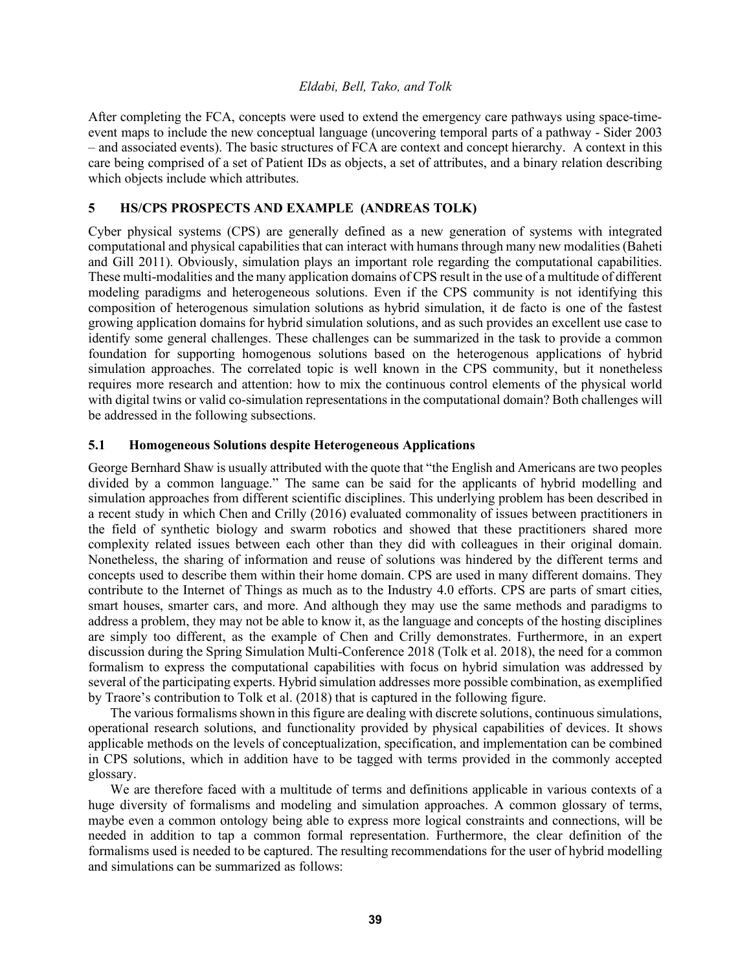After completing the FCA, concepts were used to extend the emergency care pathways using space-timeevent maps to include the new conceptual language (uncovering temporal parts of a pathway - Sider 2003 – and associated events). The basic structures of FCA are context and concept hierarchy. A context in this care being comprised of a set of Patient IDs as objects, a set of attributes, and a binary relation describing which objects include which attributes.

## **5 HS/CPS PROSPECTS AND EXAMPLE (ANDREAS TOLK)**

Cyber physical systems (CPS) are generally defined as a new generation of systems with integrated computational and physical capabilities that can interact with humans through many new modalities (Baheti and Gill 2011). Obviously, simulation plays an important role regarding the computational capabilities. These multi-modalities and the many application domains of CPS result in the use of a multitude of different modeling paradigms and heterogeneous solutions. Even if the CPS community is not identifying this composition of heterogenous simulation solutions as hybrid simulation, it de facto is one of the fastest growing application domains for hybrid simulation solutions, and as such provides an excellent use case to identify some general challenges. These challenges can be summarized in the task to provide a common foundation for supporting homogenous solutions based on the heterogenous applications of hybrid simulation approaches. The correlated topic is well known in the CPS community, but it nonetheless requires more research and attention: how to mix the continuous control elements of the physical world with digital twins or valid co-simulation representations in the computational domain? Both challenges will be addressed in the following subsections.

## **5.1 Homogeneous Solutions despite Heterogeneous Applications**

George Bernhard Shaw is usually attributed with the quote that "the English and Americans are two peoples divided by a common language." The same can be said for the applicants of hybrid modelling and simulation approaches from different scientific disciplines. This underlying problem has been described in a recent study in which Chen and Crilly (2016) evaluated commonality of issues between practitioners in the field of synthetic biology and swarm robotics and showed that these practitioners shared more complexity related issues between each other than they did with colleagues in their original domain. Nonetheless, the sharing of information and reuse of solutions was hindered by the different terms and concepts used to describe them within their home domain. CPS are used in many different domains. They contribute to the Internet of Things as much as to the Industry 4.0 efforts. CPS are parts of smart cities, smart houses, smarter cars, and more. And although they may use the same methods and paradigms to address a problem, they may not be able to know it, as the language and concepts of the hosting disciplines are simply too different, as the example of Chen and Crilly demonstrates. Furthermore, in an expert discussion during the Spring Simulation Multi-Conference 2018 (Tolk et al. 2018), the need for a common formalism to express the computational capabilities with focus on hybrid simulation was addressed by several of the participating experts. Hybrid simulation addresses more possible combination, as exemplified by Traore's contribution to Tolk et al. (2018) that is captured in the following figure.

The various formalisms shown in this figure are dealing with discrete solutions, continuous simulations, operational research solutions, and functionality provided by physical capabilities of devices. It shows applicable methods on the levels of conceptualization, specification, and implementation can be combined in CPS solutions, which in addition have to be tagged with terms provided in the commonly accepted glossary.

We are therefore faced with a multitude of terms and definitions applicable in various contexts of a huge diversity of formalisms and modeling and simulation approaches. A common glossary of terms, maybe even a common ontology being able to express more logical constraints and connections, will be needed in addition to tap a common formal representation. Furthermore, the clear definition of the formalisms used is needed to be captured. The resulting recommendations for the user of hybrid modelling and simulations can be summarized as follows: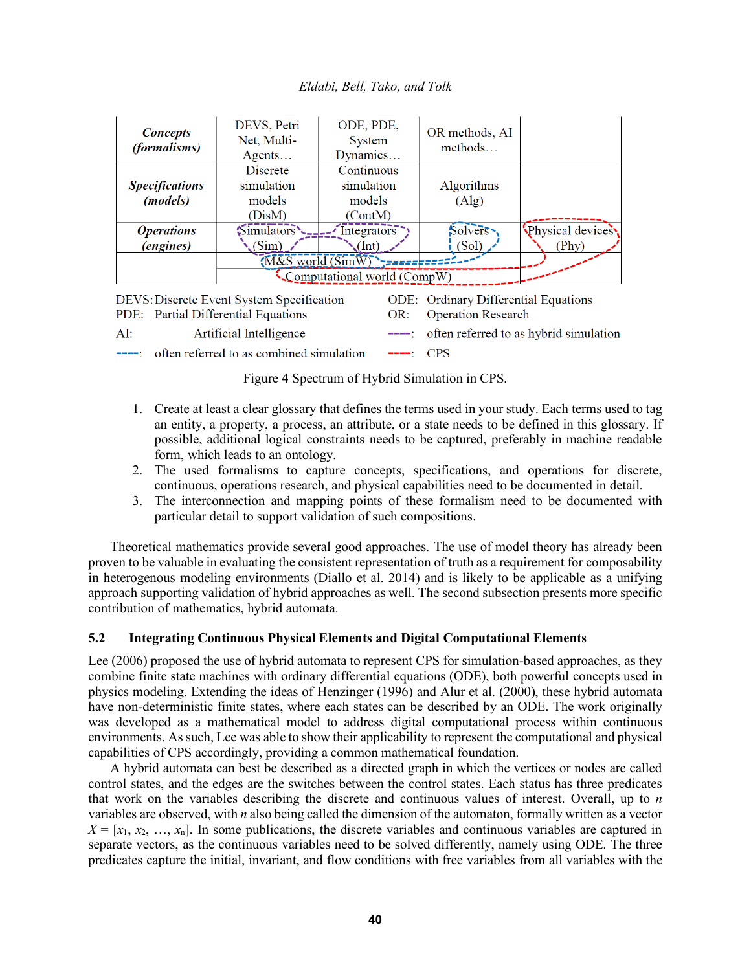| <b>Concepts</b>             | DEVS, Petri                               | ODE, PDE,                            | OR methods, AI                              |                                        |  |  |  |  |  |
|-----------------------------|-------------------------------------------|--------------------------------------|---------------------------------------------|----------------------------------------|--|--|--|--|--|
| <i>(formalisms)</i>         | Net, Multi-                               | System                               | methods                                     |                                        |  |  |  |  |  |
|                             | $A$ gents                                 | Dynamics                             |                                             |                                        |  |  |  |  |  |
|                             | Discrete                                  | Continuous                           |                                             |                                        |  |  |  |  |  |
| <b>Specifications</b>       | simulation                                | simulation                           | Algorithms                                  |                                        |  |  |  |  |  |
| ( <i>models</i> )           | models                                    | models                               | (Alg)                                       |                                        |  |  |  |  |  |
|                             | (DisM)                                    | (ContM)                              |                                             |                                        |  |  |  |  |  |
| <i><b>Operations</b></i>    | Simulators                                | $\overline{\phantom{a}}$ Integrators | Solvers-                                    | Physical devices                       |  |  |  |  |  |
| <i>(engines)</i>            | (Sim)                                     | (Int)                                | (Sol)                                       | (Phy)                                  |  |  |  |  |  |
|                             | (M&S world (SimW)                         |                                      |                                             |                                        |  |  |  |  |  |
| Computational world (CompW) |                                           |                                      |                                             |                                        |  |  |  |  |  |
|                             | DEVS: Discrete Event System Specification |                                      | <b>ODE:</b> Ordinary Differential Equations |                                        |  |  |  |  |  |
|                             | PDE: Partial Differential Equations       | OR:                                  | <b>Operation Research</b>                   |                                        |  |  |  |  |  |
| AI:                         | Artificial Intelligence                   |                                      |                                             | often referred to as hybrid simulation |  |  |  |  |  |

Figure 4 Spectrum of Hybrid Simulation in CPS.

----: often referred to as combined simulation

1. Create at least a clear glossary that defines the terms used in your study. Each terms used to tag an entity, a property, a process, an attribute, or a state needs to be defined in this glossary. If possible, additional logical constraints needs to be captured, preferably in machine readable form, which leads to an ontology.

 $---:$  CPS

- 2. The used formalisms to capture concepts, specifications, and operations for discrete, continuous, operations research, and physical capabilities need to be documented in detail.
- 3. The interconnection and mapping points of these formalism need to be documented with particular detail to support validation of such compositions.

Theoretical mathematics provide several good approaches. The use of model theory has already been proven to be valuable in evaluating the consistent representation of truth as a requirement for composability in heterogenous modeling environments (Diallo et al. 2014) and is likely to be applicable as a unifying approach supporting validation of hybrid approaches as well. The second subsection presents more specific contribution of mathematics, hybrid automata.

## **5.2 Integrating Continuous Physical Elements and Digital Computational Elements**

Lee (2006) proposed the use of hybrid automata to represent CPS for simulation-based approaches, as they combine finite state machines with ordinary differential equations (ODE), both powerful concepts used in physics modeling. Extending the ideas of Henzinger (1996) and Alur et al. (2000), these hybrid automata have non-deterministic finite states, where each states can be described by an ODE. The work originally was developed as a mathematical model to address digital computational process within continuous environments. As such, Lee was able to show their applicability to represent the computational and physical capabilities of CPS accordingly, providing a common mathematical foundation.

A hybrid automata can best be described as a directed graph in which the vertices or nodes are called control states, and the edges are the switches between the control states. Each status has three predicates that work on the variables describing the discrete and continuous values of interest. Overall, up to *n* variables are observed, with *n* also being called the dimension of the automaton, formally written as a vector  $X = [x_1, x_2, \ldots, x_n]$ . In some publications, the discrete variables and continuous variables are captured in separate vectors, as the continuous variables need to be solved differently, namely using ODE. The three predicates capture the initial, invariant, and flow conditions with free variables from all variables with the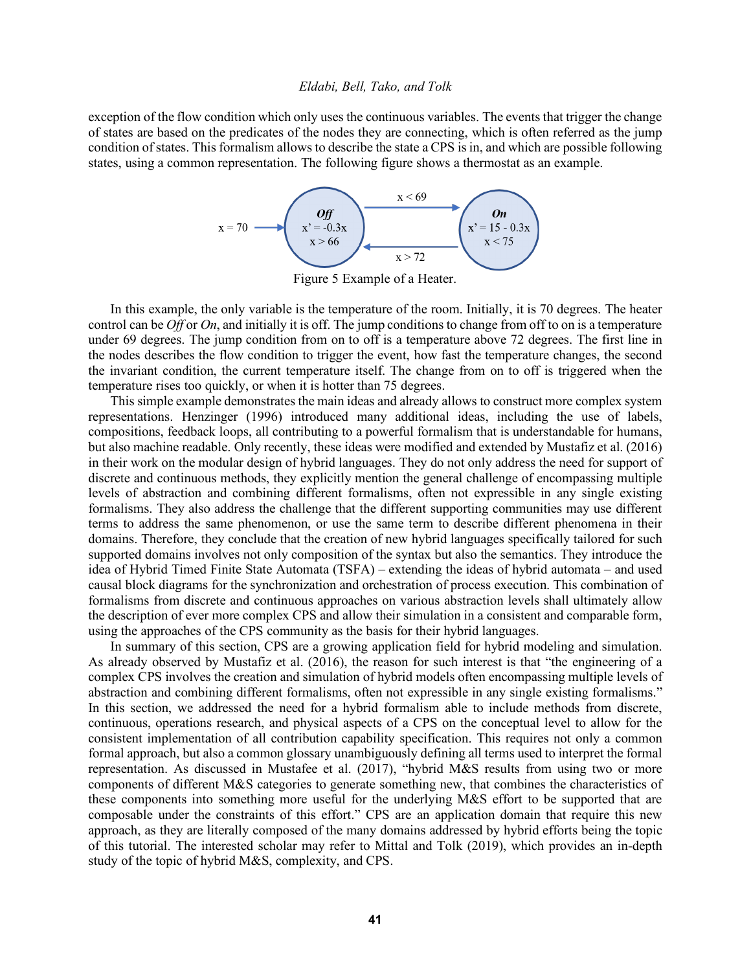exception of the flow condition which only uses the continuous variables. The events that trigger the change of states are based on the predicates of the nodes they are connecting, which is often referred as the jump condition of states. This formalism allows to describe the state a CPS is in, and which are possible following states, using a common representation. The following figure shows a thermostat as an example.



Figure 5 Example of a Heater.

In this example, the only variable is the temperature of the room. Initially, it is 70 degrees. The heater control can be *Off* or *On*, and initially it is off. The jump conditions to change from off to on is a temperature under 69 degrees. The jump condition from on to off is a temperature above 72 degrees. The first line in the nodes describes the flow condition to trigger the event, how fast the temperature changes, the second the invariant condition, the current temperature itself. The change from on to off is triggered when the temperature rises too quickly, or when it is hotter than 75 degrees.

This simple example demonstrates the main ideas and already allows to construct more complex system representations. Henzinger (1996) introduced many additional ideas, including the use of labels, compositions, feedback loops, all contributing to a powerful formalism that is understandable for humans, but also machine readable. Only recently, these ideas were modified and extended by Mustafiz et al. (2016) in their work on the modular design of hybrid languages. They do not only address the need for support of discrete and continuous methods, they explicitly mention the general challenge of encompassing multiple levels of abstraction and combining different formalisms, often not expressible in any single existing formalisms. They also address the challenge that the different supporting communities may use different terms to address the same phenomenon, or use the same term to describe different phenomena in their domains. Therefore, they conclude that the creation of new hybrid languages specifically tailored for such supported domains involves not only composition of the syntax but also the semantics. They introduce the idea of Hybrid Timed Finite State Automata (TSFA) – extending the ideas of hybrid automata – and used causal block diagrams for the synchronization and orchestration of process execution. This combination of formalisms from discrete and continuous approaches on various abstraction levels shall ultimately allow the description of ever more complex CPS and allow their simulation in a consistent and comparable form, using the approaches of the CPS community as the basis for their hybrid languages.

In summary of this section, CPS are a growing application field for hybrid modeling and simulation. As already observed by Mustafiz et al. (2016), the reason for such interest is that "the engineering of a complex CPS involves the creation and simulation of hybrid models often encompassing multiple levels of abstraction and combining different formalisms, often not expressible in any single existing formalisms." In this section, we addressed the need for a hybrid formalism able to include methods from discrete, continuous, operations research, and physical aspects of a CPS on the conceptual level to allow for the consistent implementation of all contribution capability specification. This requires not only a common formal approach, but also a common glossary unambiguously defining all terms used to interpret the formal representation. As discussed in Mustafee et al. (2017), "hybrid M&S results from using two or more components of different M&S categories to generate something new, that combines the characteristics of these components into something more useful for the underlying M&S effort to be supported that are composable under the constraints of this effort." CPS are an application domain that require this new approach, as they are literally composed of the many domains addressed by hybrid efforts being the topic of this tutorial. The interested scholar may refer to Mittal and Tolk (2019), which provides an in-depth study of the topic of hybrid M&S, complexity, and CPS.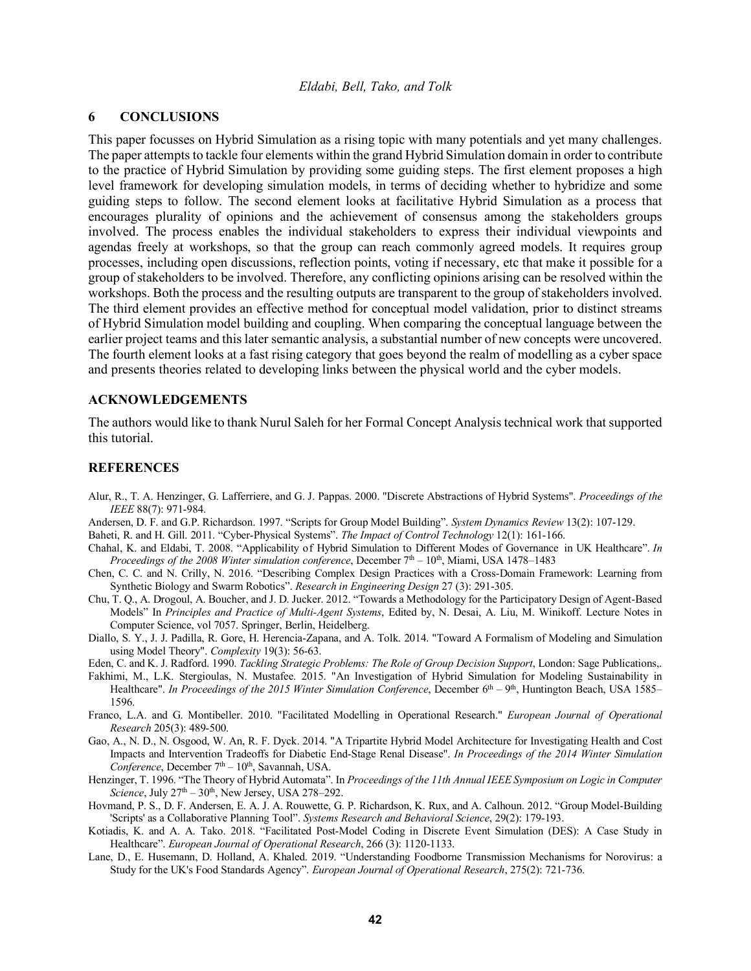## **6 CONCLUSIONS**

This paper focusses on Hybrid Simulation as a rising topic with many potentials and yet many challenges. The paper attempts to tackle four elements within the grand Hybrid Simulation domain in order to contribute to the practice of Hybrid Simulation by providing some guiding steps. The first element proposes a high level framework for developing simulation models, in terms of deciding whether to hybridize and some guiding steps to follow. The second element looks at facilitative Hybrid Simulation as a process that encourages plurality of opinions and the achievement of consensus among the stakeholders groups involved. The process enables the individual stakeholders to express their individual viewpoints and agendas freely at workshops, so that the group can reach commonly agreed models. It requires group processes, including open discussions, reflection points, voting if necessary, etc that make it possible for a group of stakeholders to be involved. Therefore, any conflicting opinions arising can be resolved within the workshops. Both the process and the resulting outputs are transparent to the group of stakeholders involved. The third element provides an effective method for conceptual model validation, prior to distinct streams of Hybrid Simulation model building and coupling. When comparing the conceptual language between the earlier project teams and this later semantic analysis, a substantial number of new concepts were uncovered. The fourth element looks at a fast rising category that goes beyond the realm of modelling as a cyber space and presents theories related to developing links between the physical world and the cyber models.

### **ACKNOWLEDGEMENTS**

The authors would like to thank Nurul Saleh for her Formal Concept Analysis technical work that supported this tutorial.

#### **REFERENCES**

- Alur, R., T. A. Henzinger, G. Lafferriere, and G. J. Pappas. 2000. "Discrete Abstractions of Hybrid Systems". *Proceedings of the IEEE* 88(7): 971-984.
- Andersen, D. F. and G.P. Richardson. 1997. "Scripts for Group Model Building". *System Dynamics Review* 13(2): 107-129.

Baheti, R. and H. Gill. 2011. "Cyber-Physical Systems". *The Impact of Control Technology* 12(1): 161-166.

- Chahal, K. and Eldabi, T. 2008. "Applicability of Hybrid Simulation to Different Modes of Governance in UK Healthcare". *In Proceedings of the 2008 Winter simulation conference*, December 7th – 10th, Miami, USA 1478–1483
- Chen, C. C. and N. Crilly, N. 2016. "Describing Complex Design Practices with a Cross-Domain Framework: Learning from Synthetic Biology and Swarm Robotics". *Research in Engineering Design* 27 (3): 291-305.
- Chu, T. Q., A. Drogoul, A. Boucher, and J. D. Jucker. 2012. "Towards a Methodology for the Participatory Design of Agent-Based Models" In *Principles and Practice of Multi-Agent Systems*, Edited by, N. Desai, A. Liu, M. Winikoff. Lecture Notes in Computer Science, vol 7057. Springer, Berlin, Heidelberg.
- Diallo, S. Y., J. J. Padilla, R. Gore, H. Herencia-Zapana, and A. Tolk. 2014. "Toward A Formalism of Modeling and Simulation using Model Theory". *Complexity* 19(3): 56-63.

Eden, C. and K. J. Radford. 1990. *Tackling Strategic Problems: The Role of Group Decision Support*, London: Sage Publications,.

- Fakhimi, M., L.K. Stergioulas, N. Mustafee. 2015. "An Investigation of Hybrid Simulation for Modeling Sustainability in Healthcare". *In Proceedings of the 2015 Winter Simulation Conference*, December 6<sup>th</sup> – 9<sup>th</sup>, Huntington Beach, USA 1585– 1596.
- Franco, L.A. and G. Montibeller. 2010. "Facilitated Modelling in Operational Research." *European Journal of Operational Research* 205(3): 489-500.
- Gao, A., N. D., N. Osgood, W. An, R. F. Dyck. 2014. "A Tripartite Hybrid Model Architecture for Investigating Health and Cost Impacts and Intervention Tradeoffs for Diabetic End-Stage Renal Disease". *In Proceedings of the 2014 Winter Simulation Conference*, December  $7<sup>th</sup> - 10<sup>th</sup>$ , Savannah, USA.
- Henzinger, T. 1996. "The Theory of Hybrid Automata". In *Proceedings of the 11th Annual IEEE Symposium on Logic in Computer Science*, July  $27<sup>th</sup> - 30<sup>th</sup>$ , New Jersey, USA  $278-292$ .
- Hovmand, P. S., D. F. Andersen, E. A. J. A. Rouwette, G. P. Richardson, K. Rux, and A. Calhoun. 2012. "Group Model-Building 'Scripts' as a Collaborative Planning Tool". *Systems Research and Behavioral Science*, 29(2): 179-193.
- Kotiadis, K. and A. A. Tako. 2018. "Facilitated Post-Model Coding in Discrete Event Simulation (DES): A Case Study in Healthcare". *European Journal of Operational Research*, 266 (3): 1120-1133.
- Lane, D., E. Husemann, D. Holland, A. Khaled. 2019. "Understanding Foodborne Transmission Mechanisms for Norovirus: a Study for the UK's Food Standards Agency". *European Journal of Operational Research*, 275(2): 721-736.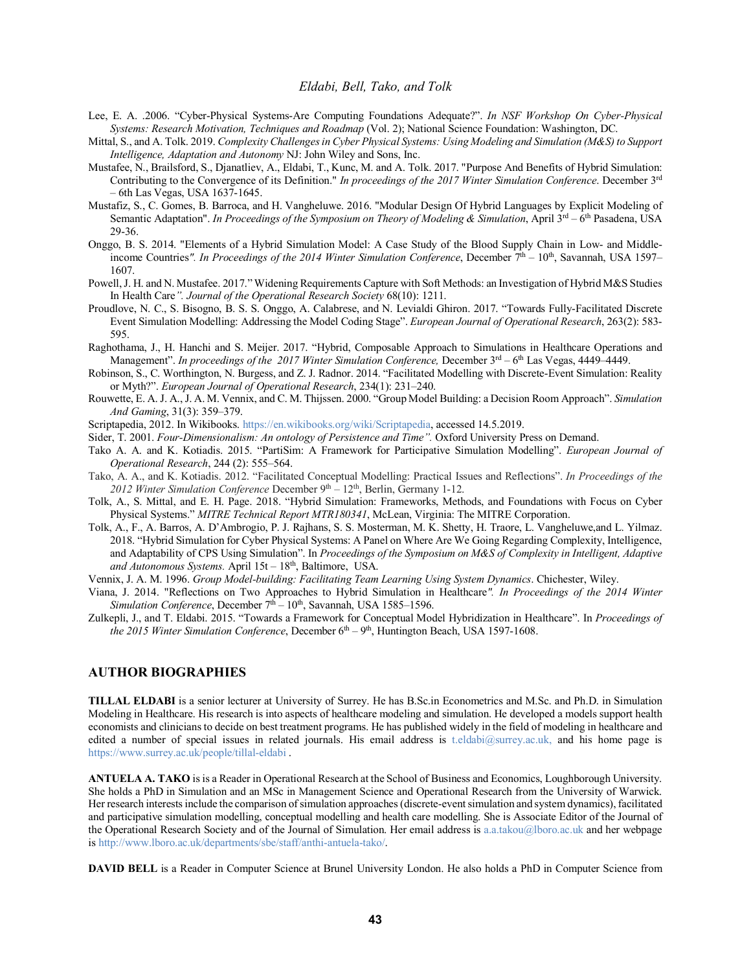- Lee, E. A. .2006. "Cyber-Physical Systems-Are Computing Foundations Adequate?". *In NSF Workshop On Cyber-Physical Systems: Research Motivation, Techniques and Roadmap* (Vol. 2); National Science Foundation: Washington, DC.
- Mittal, S., and A. Tolk. 2019. *Complexity Challenges in Cyber Physical Systems: Using Modeling and Simulation (M&S) to Support Intelligence, Adaptation and Autonomy* NJ: John Wiley and Sons, Inc.
- Mustafee, N., Brailsford, S., Djanatliev, A., Eldabi, T., Kunc, M. and A. Tolk. 2017. "Purpose And Benefits of Hybrid Simulation: Contributing to the Convergence of its Definition." *In proceedings of the 2017 Winter Simulation Conference*. December 3rd – 6th Las Vegas, USA 1637-1645.
- Mustafiz, S., C. Gomes, B. Barroca, and H. Vangheluwe. 2016. "Modular Design Of Hybrid Languages by Explicit Modeling of Semantic Adaptation". *In Proceedings of the Symposium on Theory of Modeling & Simulation*, April 3<sup>rd</sup> – 6<sup>th</sup> Pasadena, USA 29-36.
- Onggo, B. S. 2014. "Elements of a Hybrid Simulation Model: A Case Study of the Blood Supply Chain in Low- and Middleincome Countries". In Proceedings of the 2014 Winter Simulation Conference, December 7<sup>th</sup> – 10<sup>th</sup>, Savannah, USA 1597– 1607.
- Powell, J. H. and N. Mustafee. 2017." Widening Requirements Capture with Soft Methods: an Investigation of Hybrid M&S Studies In Health Care*". Journal of the Operational Research Society* 68(10): 1211.
- Proudlove, N. C., S. Bisogno, B. S. S. Onggo, A. Calabrese, and N. Levialdi Ghiron. 2017. "Towards Fully-Facilitated Discrete Event Simulation Modelling: Addressing the Model Coding Stage". *European Journal of Operational Research*, 263(2): 583- 595.
- Raghothama, J., H. Hanchi and S. Meijer. 2017. "Hybrid, Composable Approach to Simulations in Healthcare Operations and Management". *In proceedings of the 2017 Winter Simulation Conference*, December 3<sup>rd</sup> – 6<sup>th</sup> Las Vegas, 4449–4449.
- Robinson, S., C. Worthington, N. Burgess, and Z. J. Radnor. 2014. "Facilitated Modelling with Discrete-Event Simulation: Reality or Myth?". *European Journal of Operational Research*, 234(1): 231–240.
- Rouwette, E. A. J. A., J. A. M. Vennix, and C. M. Thijssen. 2000. "Group Model Building: a Decision Room Approach". *Simulation And Gaming*, 31(3): 359–379.
- Scriptapedia, 2012. In Wikibooks. https://en.wikibooks.org/wiki/Scriptapedia, accessed 14.5.2019.
- Sider, T. 2001. *Four-Dimensionalism: An ontology of Persistence and Time".* Oxford University Press on Demand.
- Tako A. A. and K. Kotiadis. 2015. "PartiSim: A Framework for Participative Simulation Modelling". *European Journal of Operational Research*, 244 (2): 555–564.
- Tako, A. A., and K. Kotiadis. 2012. "Facilitated Conceptual Modelling: Practical Issues and Reflections". *In Proceedings of the 2012 Winter Simulation Conference* December 9th – 12th, Berlin, Germany 1-12.
- Tolk, A., S. Mittal, and E. H. Page. 2018. "Hybrid Simulation: Frameworks, Methods, and Foundations with Focus on Cyber Physical Systems." *MITRE Technical Report MTR180341*, McLean, Virginia: The MITRE Corporation.
- Tolk, A., F., A. Barros, A. D'Ambrogio, P. J. Rajhans, S. S. Mosterman, M. K. Shetty, H. Traore, L. Vangheluwe,and L. Yilmaz. 2018. "Hybrid Simulation for Cyber Physical Systems: A Panel on Where Are We Going Regarding Complexity, Intelligence, and Adaptability of CPS Using Simulation". In *Proceedings of the Symposium on M&S of Complexity in Intelligent, Adaptive*  and Autonomous Systems. April 15t – 18<sup>th</sup>, Baltimore, USA.
- Vennix, J. A. M. 1996. *Group Model-building: Facilitating Team Learning Using System Dynamics*. Chichester, Wiley.
- Viana, J. 2014. "Reflections on Two Approaches to Hybrid Simulation in Healthcare*". In Proceedings of the 2014 Winter Simulation Conference*, December  $7<sup>th</sup> - 10<sup>th</sup>$ , Savannah, USA 1585–1596.
- Zulkepli, J., and T. Eldabi. 2015. "Towards a Framework for Conceptual Model Hybridization in Healthcare". In *Proceedings of the 2015 Winter Simulation Conference*, December  $6<sup>th</sup> - 9<sup>th</sup>$ , Huntington Beach, USA 1597-1608.

#### **AUTHOR BIOGRAPHIES**

**TILLAL ELDABI** is a senior lecturer at University of Surrey. He has B.Sc.in Econometrics and M.Sc. and Ph.D. in Simulation Modeling in Healthcare. His research is into aspects of healthcare modeling and simulation. He developed a models support health economists and clinicians to decide on best treatment programs. He has published widely in the field of modeling in healthcare and edited a number of special issues in related journals. His email address is t.eldabi@surrey.ac.uk, and his home page is https://www.surrey.ac.uk/people/tillal-eldabi .

**ANTUELA A. TAKO** is is a Reader in Operational Research at the School of Business and Economics, Loughborough University. She holds a PhD in Simulation and an MSc in Management Science and Operational Research from the University of Warwick. Her research interests include the comparison of simulation approaches (discrete-event simulation and system dynamics), facilitated and participative simulation modelling, conceptual modelling and health care modelling. She is Associate Editor of the Journal of the Operational Research Society and of the Journal of Simulation. Her email address is a.a.takou@lboro.ac.uk and her webpage is http://www.lboro.ac.uk/departments/sbe/staff/anthi-antuela-tako/.

**DAVID BELL** is a Reader in Computer Science at Brunel University London. He also holds a PhD in Computer Science from